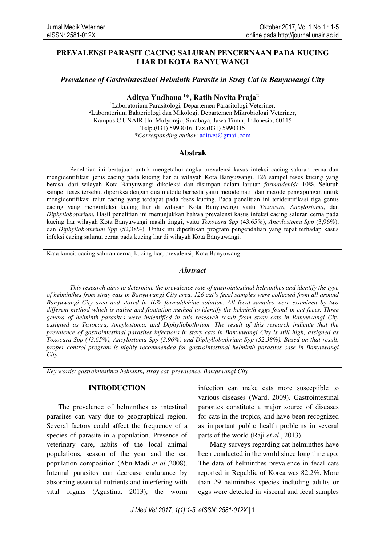# **PREVALENSI PARASIT CACING SALURAN PENCERNAAN PADA KUCING LIAR DI KOTA BANYUWANGI**

*Prevalence of Gastrointestinal Helminth Parasite in Stray Cat in Banyuwangi City* 

**Aditya Yudhana<sup>1</sup>\*, Ratih Novita Praja<sup>2</sup>**

<sup>1</sup>Laboratorium Parasitologi, Departemen Parasitologi Veteriner, <sup>2</sup>Laboratorium Bakteriologi dan Mikologi, Departemen Mikrobiologi Veteriner, Kampus C UNAIR Jln. Mulyorejo, Surabaya, Jawa Timur, Indonesia, 60115 Telp.(031) 5993016, Fax.(031) 5990315 \**Corresponding author*: aditvet@gmail.com

## **Abstrak**

Penelitian ini bertujuan untuk mengetahui angka prevalensi kasus infeksi cacing saluran cerna dan mengidentifikasi jenis cacing pada kucing liar di wilayah Kota Banyuwangi. 126 sampel feses kucing yang berasal dari wilayah Kota Banyuwangi dikoleksi dan disimpan dalam larutan *formaldehide* 10%. Seluruh sampel feses tersebut diperiksa dengan dua metode berbeda yaitu metode natif dan metode pengapungan untuk mengidentifikasi telur cacing yang terdapat pada feses kucing. Pada penelitian ini teridentifikasi tiga genus cacing yang menginfeksi kucing liar di wilayah Kota Banyuwangi yaitu *Toxocara, Ancylostoma*, dan *Diphyllobothrium.* Hasil penelitian ini menunjukkan bahwa prevalensi kasus infeksi cacing saluran cerna pada kucing liar wilayah Kota Banyuwangi masih tinggi, yaitu *Toxocara Spp* (43,65%), *Ancylostoma Spp* (3,96%), dan *Diphyllobothrium Spp* (52,38%). Untuk itu diperlukan program pengendalian yang tepat terhadap kasus infeksi cacing saluran cerna pada kucing liar di wilayah Kota Banyuwangi.

Kata kunci: cacing saluran cerna, kucing liar, prevalensi, Kota Banyuwangi

#### *Abstract*

*This research aims to determine the prevalence rate of gastrointestinal helminthes and identify the type of helminthes from stray cats in Banyuwangi City area. 126 cat's fecal samples were collected from all around Banyuwangi City area and stored in 10% formaldehide solution. All fecal samples were examined by two different method which is native and floatation method to identify the helminth eggs found in cat feces. Three genera of helminth parasites were indentified in this research result from stray cats in Banyuwangi City assigned as Toxocara, Ancylostoma, and Diphyllobothrium. The result of this research indicate that the prevalence of gastrointestinal parasites infections in stary cats in Banyuwangi City is still high, assigned as Toxocara Spp (43,65%), Ancylostoma Spp (3,96%) and Diphyllobothrium Spp (52,38%). Based on that result, proper control program is highly recommended for gastrointestinal helminth parasites case in Banyuwangi City.* 

*Key words: gastrointestinal helminth, stray cat, prevalence, Banyuwangi City*

#### **INTRODUCTION**

The prevalence of helminthes as intestinal parasites can vary due to geographical region. Several factors could affect the frequency of a species of parasite in a population. Presence of veterinary care, habits of the local animal populations, season of the year and the cat population composition (Abu-Madi *et al*.,2008). Internal parasites can decrease endurance by absorbing essential nutrients and interfering with vital organs (Agustina, 2013), the worm

infection can make cats more susceptible to various diseases (Ward, 2009). Gastrointestinal parasites constitute a major source of diseases for cats in the tropics, and have been recognized as important public health problems in several parts of the world (Raji *et al*., 2013).

Many surveys regarding cat helminthes have been conducted in the world since long time ago. The data of helminthes prevalence in fecal cats reported in Republic of Korea was 82.2%. More than 29 helminthes species including adults or eggs were detected in visceral and fecal samples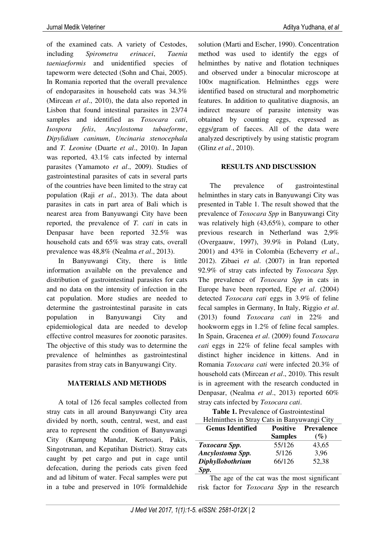of the examined cats. A variety of Cestodes, including *Spirometra erinacei*, *Taenia taeniaeformis* and unidentified species of tapeworm were detected (Sohn and Chai, 2005). In Romania reported that the overall prevalence of endoparasites in household cats was 34.3% (Mircean *et al*., 2010), the data also reported in Lisbon that found intestinal parasites in 23/74 samples and identified as *Toxocara cati*, *Isospora felis*, *Ancylostoma tubaeforme*, *Dipylidium caninum*, *Uncinaria stenocephala* and *T. Leonine* (Duarte *et al*., 2010). In Japan was reported, 43.1% cats infected by internal parasites (Yamamoto *et al*., 2009). Studies of gastrointestinal parasites of cats in several parts of the countries have been limited to the stray cat population (Raji *et al*., 2013). The data about parasites in cats in part area of Bali which is nearest area from Banyuwangi City have been reported, the prevalence of *T. cati* in cats in Denpasar have been reported 32.5% was household cats and 65% was stray cats, overall prevalence was 48,8% (Nealma *et al*., 2013).

In Banyuwangi City, there is little information available on the prevalence and distribution of gastrointestinal parasites for cats and no data on the intensity of infection in the cat population. More studies are needed to determine the gastrointestinal parasite in cats population in Banyuwangi City and epidemiological data are needed to develop effective control measures for zoonotic parasites. The objective of this study was to determine the prevalence of helminthes as gastrointestinal parasites from stray cats in Banyuwangi City.

## **MATERIALS AND METHODS**

A total of 126 fecal samples collected from stray cats in all around Banyuwangi City area divided by north, south, central, west, and east area to represent the condition of Banyuwangi City (Kampung Mandar, Kertosari, Pakis, Singotrunan, and Kepatihan District). Stray cats caught by pet cargo and put in cage until defecation, during the periods cats given feed and ad libitum of water. Fecal samples were put in a tube and preserved in 10% formaldehide

solution (Marti and Escher, 1990). Concentration method was used to identify the eggs of helminthes by native and flotation techniques and observed under a binocular microscope at 100× magnification. Helminthes eggs were identified based on structural and morphometric features. In addition to qualitative diagnosis, an indirect measure of parasite intensity was obtained by counting eggs, expressed as eggs/gram of faeces. All of the data were analyzed descriptively by using statistic program (Glinz *et al*., 2010).

#### **RESULTS AND DISCUSSION**

The prevalence of gastrointestinal helminthes in stary cats in Banyuwangi City was presented in Table 1. The result showed that the prevalence of *Toxocara Spp* in Banyuwangi City was relatively high (43,65%), compare to other previous research in Netherland was 2,9% (Overgaauw, 1997), 39.9% in Poland (Luty, 2001) and 43% in Colombia (Echeverry *et al*., 2012). Zibaei *et al*. (2007) in Iran reported 92.9% of stray cats infected by *Toxocara Spp.* The prevalence of *Toxocara Spp* in cats in Europe have been reported, Epe *et al*. (2004) detected *Toxocara cati* eggs in 3.9% of feline fecal samples in Germany, In Italy, Riggio *et al*. (2013) found *Toxocara cati* in 22% and hookworm eggs in 1.2% of feline fecal samples. In Spain, Gracenea *et al*. (2009) found *Toxocara cati* eggs in 22% of feline fecal samples with distinct higher incidence in kittens. And in Romania *Toxocara cati* were infected 20.3% of household cats (Mircean *et al*., 2010). This result is in agreement with the research conducted in Denpasar, (Nealma *et al*., 2013) reported 60% stray cats infected by *Toxocara cati*.

**Table 1.** Prevalence of Gastrointestinal Helminthes in Stray Cats in Banyuwangi City

| <b>Genus Identified</b> | <b>Positive</b> | <b>Prevalence</b> |
|-------------------------|-----------------|-------------------|
|                         | <b>Samples</b>  | $(\%)$            |
| Toxocara Spp.           | 55/126          | 43,65             |
| Ancylostoma Spp.        | 5/126           | 3,96              |
| Diphyllobothrium        | 66/126          | 52,38             |
| Spp.                    |                 |                   |

The age of the cat was the most significant risk factor for *Toxocara Spp* in the research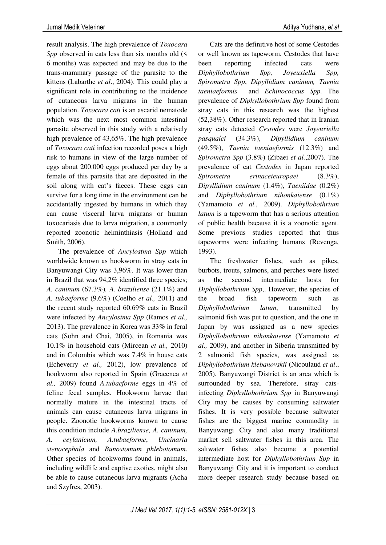result analysis. The high prevalence of *Toxocara Spp* observed in cats less than six months old  $\leq$ 6 months) was expected and may be due to the trans-mammary passage of the parasite to the kittens (Labarthe *et al*., 2004). This could play a significant role in contributing to the incidence of cutaneous larva migrans in the human population. *Toxocara cati* is an ascarid nematode which was the next most common intestinal parasite observed in this study with a relatively high prevalence of 43,65%. The high prevalence of *Toxocara cati* infection recorded poses a high risk to humans in view of the large number of eggs about 200.000 eggs produced per day by a female of this parasite that are deposited in the soil along with cat's faeces. These eggs can survive for a long time in the environment can be accidentally ingested by humans in which they can cause visceral larva migrans or human toxocariasis due to larva migration, a commonly reported zoonotic helminthiasis (Holland and Smith, 2006).

The prevalence of *Ancylostma Spp* which worldwide known as hookworm in stray cats in Banyuwangi City was 3,96%. It was lower than in Brazil that was 94,2% identified three species; *A. caninum* (67.3%)*, A. braziliense* (21.1%) and *A. tubaeforme* (9.6%) (Coelho *et al.,* 2011) and the recent study reported 60.69% cats in Brazil were infected by *Ancylostma Spp* (Ramos *et al.,*  2013). The prevalence in Korea was 33% in feral cats (Sohn and Chai, 2005), in Romania was 10.1% in household cats (Mircean *et al.,* 2010) and in Colombia which was 7.4% in house cats (Echeverry *et al.,* 2012), low prevalence of hookworm also reported in Spain (Gracenea *et al.,* 2009) found *A.tubaeforme* eggs in 4% of feline fecal samples. Hookworm larvae that normally mature in the intestinal tracts of animals can cause cutaneous larva migrans in people. Zoonotic hookworms known to cause this condition include *A.braziliense, A. caninum, A. ceylanicum, A.tubaeforme*, *Uncinaria stenocephala* and *Bunostomum phlebotomum*. Other species of hookworms found in animals, including wildlife and captive exotics, might also be able to cause cutaneous larva migrants (Acha and Szyfres, 2003).

Cats are the definitive host of some Cestodes or well known as tapeworm. Cestodes that have been reporting infected cats were *Diphyllobothrium Spp, Joyeuxiella Spp, Spirometra Spp*, *Dipyllidium caninum, Taenia taeniaeformis* and *Echinococcus Spp.* The prevalence of *Diphyllobothrium Spp* found from stray cats in this research was the highest (52,38%). Other research reported that in Iranian stray cats detected *Cestodes* were *Joyeuxiella pasqualei* (34.3%), *Dipyllidium caninum*  (49.5%), *Taenia taeniaeformis* (12.3%) and *Spirometra Spp* (3.8%) (Zibaei *et al.*,2007). The prevalence of cat *Cestodes* in Japan reported *Spirometra erinaceieuropaei* (8.3%),

*Dipyllidium caninum* (1.4%), *Taeniidae* (0.2%) and *Diphyllobothrium nihonkaiense* (0.1%) (Yamamoto *et al.,* 2009). *Diphyllobothrium latum* is a tapeworm that has a serious attention of public health because it is a zoonotic agent. Some previous studies reported that thus tapeworms were infecting humans (Revenga,

1993). The freshwater fishes, such as pikes, burbots, trouts, salmons, and perches were listed as the second intermediate hosts for *Diphyllobothrium Spp*,. However, the species of the broad fish tapeworm such as *Diphyllobothrium latum*, transmitted by salmonid fish was put to question, and the one in Japan by was assigned as a new species *Diphyllobothrium nihonkaiense* (Yamamoto *et al.,* 2009), and another in Siberia transmitted by 2 salmonid fish species, was assigned as *Diphyllobothrium klebanovskii* (Nicoulaud *et al*., 2005). Banyuwangi District is an area which is surrounded by sea. Therefore, stray catsinfecting *Diphyllobothrium Spp* in Banyuwangi City may be causes by consuming saltwater fishes. It is very possible because saltwater fishes are the biggest marine commodity in Banyuwangi City and also many traditional market sell saltwater fishes in this area. The saltwater fishes also become a potential intermediate host for *Diphyllobothrium Spp* in Banyuwangi City and it is important to conduct more deeper research study because based on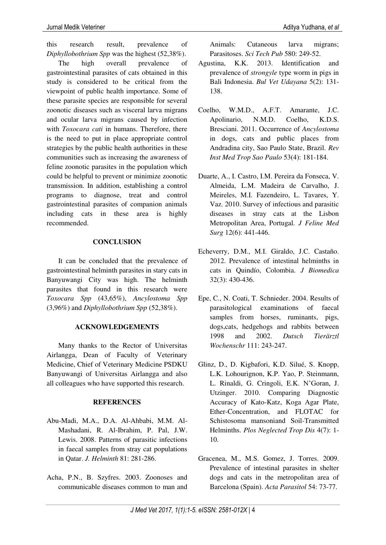this research result, prevalence of *Diphyllobothrium Spp* was the highest (52,38%).

The high overall prevalence of gastrointestinal parasites of cats obtained in this study is considered to be critical from the viewpoint of public health importance. Some of these parasite species are responsible for several zoonotic diseases such as visceral larva migrans and ocular larva migrans caused by infection with *Toxocara cati* in humans. Therefore, there is the need to put in place appropriate control strategies by the public health authorities in these communities such as increasing the awareness of feline zoonotic parasites in the population which could be helpful to prevent or minimize zoonotic transmission. In addition, establishing a control programs to diagnose, treat and control gastrointestinal parasites of companion animals including cats in these area is highly recommended.

## **CONCLUSION**

It can be concluded that the prevalence of gastrointestinal helminth parasites in stary cats in Banyuwangi City was high. The helminth parasites that found in this research were *Toxocara Spp* (43,65%), *Ancylostoma Spp* (3,96%) and *Diphyllobothrium Spp* (52,38%).

## **ACKNOWLEDGEMENTS**

Many thanks to the Rector of Universitas Airlangga, Dean of Faculty of Veterinary Medicine, Chief of Veterinary Medicine PSDKU Banyuwangi of Universitas Airlangga and also all colleagues who have supported this research.

## **REFERENCES**

- Abu-Madi, M.A., D.A. Al-Ahbabi, M.M. Al-Mashadani, R. Al-Ibrahim, P. Pal, J.W. Lewis. 2008. Patterns of parasitic infections in faecal samples from stray cat populations in Qatar. *J. Helminth* 81: 281-286.
- Acha, P.N., B. Szyfres. 2003. Zoonoses and communicable diseases common to man and

Animals: Cutaneous larva migrans; Parasitoses. *Sci Tech Pub* 580: 249-52.

- Agustina, K.K. 2013. Identification and prevalence of *strongyle* type worm in pigs in Bali Indonesia. *Bul Vet Udayana* 5(2): 131- 138.
- Coelho, W.M.D., A.F.T. Amarante, J.C. Apolinario, N.M.D. Coelho, K.D.S. Bresciani. 2011. Occurrence of *Ancylostoma*  in dogs, cats and public places from Andradina city, Sao Paulo State, Brazil. *Rev Inst Med Trop Sao Paulo* 53(4): 181-184.
- Duarte, A., I. Castro, I.M. Pereira da Fonseca, V. Almeida, L.M. Madeira de Carvalho, J. Meireles, M.I. Fazendeiro, L. Tavares, Y. Vaz. 2010. Survey of infectious and parasitic diseases in stray cats at the Lisbon Metropolitan Area, Portugal*. J Feline Med Surg* 12(6): 441-446.
- Echeverry, D.M., M.I. Giraldo, J.C. Castaño. 2012. Prevalence of intestinal helminths in cats in Quindío, Colombia. *J Biomedica*  32(3): 430-436.
- Epe, C., N. Coati, T. Schnieder. 2004. Results of parasitological examinations of faecal samples from horses, ruminants, pigs, dogs,cats, hedgehogs and rabbits between 1998 and 2002. *Dutsch Tierärztl Wochenschr* 111: 243-247.
- Glinz, D., D. Kigbafori, K.D. Silué, S. Knopp, L.K. Lohourignon, K.P. Yao, P. Steinmann, L. Rinaldi, G. Cringoli, E.K. N'Goran, J. Utzinger. 2010. Comparing Diagnostic Accuracy of Kato-Katz, Koga Agar Plate, Ether-Concentration, and FLOTAC for Schistosoma mansoniand Soil-Transmitted Helminths. *Plos Neglected Trop Dis* 4(7): 1- 10.
- Gracenea, M., M.S. Gomez, J. Torres. 2009. Prevalence of intestinal parasites in shelter dogs and cats in the metropolitan area of Barcelona (Spain). *Acta Parasitol* 54: 73-77.